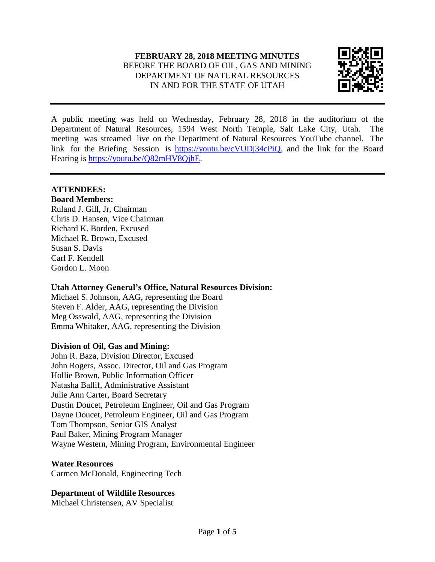#### **FEBRUARY 28, 2018 MEETING MINUTES** BEFORE THE BOARD OF OIL, GAS AND MINING DEPARTMENT OF NATURAL RESOURCES IN AND FOR THE STATE OF UTAH



A public meeting was held on Wednesday, February 28, 2018 in the auditorium of the Department of Natural Resources, 1594 West North Temple, Salt Lake City, Utah. meeting was streamed live on the Department of Natural Resources YouTube channel. The link for the Briefing Session is [https://youtu.be/cVUDj34cPiQ,](https://youtu.be/cVUDj34cPiQ) and the link for the Board Hearing is [https://youtu.be/Q82mHV8QjhE.](https://youtu.be/Q82mHV8QjhE)

#### **ATTENDEES:**

#### **Board Members:**

Ruland J. Gill, Jr, Chairman Chris D. Hansen, Vice Chairman Richard K. Borden, Excused Michael R. Brown, Excused Susan S. Davis Carl F. Kendell Gordon L. Moon

#### **Utah Attorney General's Office, Natural Resources Division:**

Michael S. Johnson, AAG, representing the Board Steven F. Alder, AAG, representing the Division Meg Osswald, AAG, representing the Division Emma Whitaker, AAG, representing the Division

#### **Division of Oil, Gas and Mining:**

John R. Baza, Division Director, Excused John Rogers, Assoc. Director, Oil and Gas Program Hollie Brown, Public Information Officer Natasha Ballif, Administrative Assistant Julie Ann Carter, Board Secretary Dustin Doucet, Petroleum Engineer, Oil and Gas Program Dayne Doucet, Petroleum Engineer, Oil and Gas Program Tom Thompson, Senior GIS Analyst Paul Baker, Mining Program Manager Wayne Western, Mining Program, Environmental Engineer

#### **Water Resources**

Carmen McDonald, Engineering Tech

#### **Department of Wildlife Resources**

Michael Christensen, AV Specialist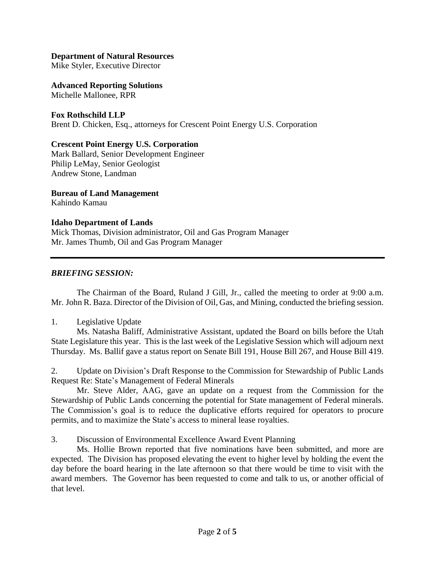**Department of Natural Resources**

Mike Styler, Executive Director

**Advanced Reporting Solutions** Michelle Mallonee, RPR

**Fox Rothschild LLP** Brent D. Chicken, Esq., attorneys for Crescent Point Energy U.S. Corporation

#### **Crescent Point Energy U.S. Corporation**

Mark Ballard, Senior Development Engineer Philip LeMay, Senior Geologist Andrew Stone, Landman

**Bureau of Land Management** Kahindo Kamau

#### **Idaho Department of Lands**

Mick Thomas, Division administrator, Oil and Gas Program Manager Mr. James Thumb, Oil and Gas Program Manager

#### *BRIEFING SESSION:*

The Chairman of the Board, Ruland J Gill, Jr., called the meeting to order at 9:00 a.m. Mr. John R. Baza. Director of the Division of Oil, Gas, and Mining, conducted the briefing session.

1. Legislative Update

Ms. Natasha Baliff, Administrative Assistant, updated the Board on bills before the Utah State Legislature this year. This is the last week of the Legislative Session which will adjourn next Thursday. Ms. Ballif gave a status report on Senate Bill 191, House Bill 267, and House Bill 419.

2. Update on Division's Draft Response to the Commission for Stewardship of Public Lands Request Re: State's Management of Federal Minerals

Mr. Steve Alder, AAG, gave an update on a request from the Commission for the Stewardship of Public Lands concerning the potential for State management of Federal minerals. The Commission's goal is to reduce the duplicative efforts required for operators to procure permits, and to maximize the State's access to mineral lease royalties.

3. Discussion of Environmental Excellence Award Event Planning

Ms. Hollie Brown reported that five nominations have been submitted, and more are expected. The Division has proposed elevating the event to higher level by holding the event the day before the board hearing in the late afternoon so that there would be time to visit with the award members. The Governor has been requested to come and talk to us, or another official of that level.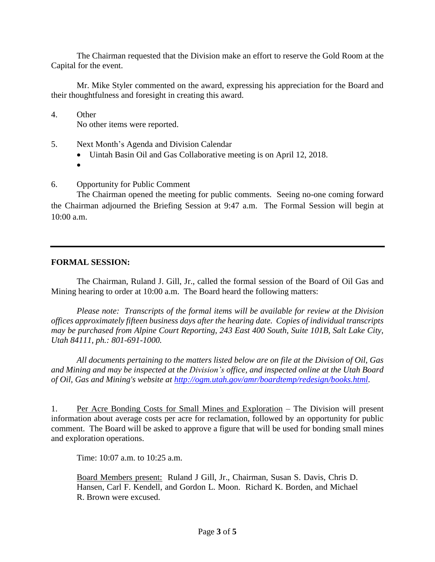The Chairman requested that the Division make an effort to reserve the Gold Room at the Capital for the event.

Mr. Mike Styler commented on the award, expressing his appreciation for the Board and their thoughtfulness and foresight in creating this award.

- 4. Other No other items were reported.
- 5. Next Month's Agenda and Division Calendar
	- Uintah Basin Oil and Gas Collaborative meeting is on April 12, 2018.
	- $\bullet$
- 6. Opportunity for Public Comment

The Chairman opened the meeting for public comments. Seeing no-one coming forward the Chairman adjourned the Briefing Session at 9:47 a.m. The Formal Session will begin at 10:00 a.m.

#### **FORMAL SESSION:**

The Chairman, Ruland J. Gill, Jr., called the formal session of the Board of Oil Gas and Mining hearing to order at 10:00 a.m. The Board heard the following matters:

*Please note: Transcripts of the formal items will be available for review at the Division offices approximately fifteen business days after the hearing date. Copies of individual transcripts may be purchased from Alpine Court Reporting, 243 East 400 South, Suite 101B, Salt Lake City, Utah 84111, ph.: 801-691-1000.*

*All documents pertaining to the matters listed below are on file at the Division of Oil, Gas and Mining and may be inspected at the Division's office, and inspected online at the Utah Board of Oil, Gas and Mining's website at [http://ogm.utah.gov/amr/boardtemp/redesign/books.html.](http://ogm.utah.gov/amr/boardtemp/redesign/books.html)*

1. Per Acre Bonding Costs for Small Mines and Exploration – The Division will present information about average costs per acre for reclamation, followed by an opportunity for public comment. The Board will be asked to approve a figure that will be used for bonding small mines and exploration operations.

Time: 10:07 a.m. to 10:25 a.m.

Board Members present: Ruland J Gill, Jr., Chairman, Susan S. Davis, Chris D. Hansen, Carl F. Kendell, and Gordon L. Moon. Richard K. Borden, and Michael R. Brown were excused.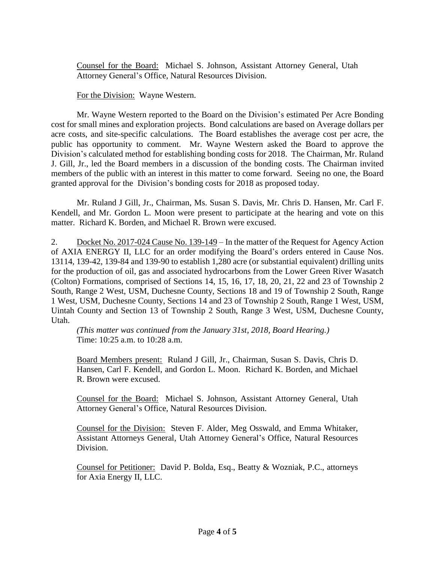Counsel for the Board: Michael S. Johnson, Assistant Attorney General, Utah Attorney General's Office, Natural Resources Division.

For the Division: Wayne Western.

Mr. Wayne Western reported to the Board on the Division's estimated Per Acre Bonding cost for small mines and exploration projects. Bond calculations are based on Average dollars per acre costs, and site-specific calculations. The Board establishes the average cost per acre, the public has opportunity to comment. Mr. Wayne Western asked the Board to approve the Division's calculated method for establishing bonding costs for 2018. The Chairman, Mr. Ruland J. Gill, Jr., led the Board members in a discussion of the bonding costs. The Chairman invited members of the public with an interest in this matter to come forward. Seeing no one, the Board granted approval for the Division's bonding costs for 2018 as proposed today.

Mr. Ruland J Gill, Jr., Chairman, Ms. Susan S. Davis, Mr. Chris D. Hansen, Mr. Carl F. Kendell, and Mr. Gordon L. Moon were present to participate at the hearing and vote on this matter. Richard K. Borden, and Michael R. Brown were excused.

2. Docket No. 2017-024 Cause No. 139-149 – In the matter of the Request for Agency Action of AXIA ENERGY II, LLC for an order modifying the Board's orders entered in Cause Nos. 13114, 139-42, 139-84 and 139-90 to establish 1,280 acre (or substantial equivalent) drilling units for the production of oil, gas and associated hydrocarbons from the Lower Green River Wasatch (Colton) Formations, comprised of Sections 14, 15, 16, 17, 18, 20, 21, 22 and 23 of Township 2 South, Range 2 West, USM, Duchesne County, Sections 18 and 19 of Township 2 South, Range 1 West, USM, Duchesne County, Sections 14 and 23 of Township 2 South, Range 1 West, USM, Uintah County and Section 13 of Township 2 South, Range 3 West, USM, Duchesne County, Utah.

*(This matter was continued from the January 31st, 2018, Board Hearing.)* Time: 10:25 a.m. to 10:28 a.m.

Board Members present: Ruland J Gill, Jr., Chairman, Susan S. Davis, Chris D. Hansen, Carl F. Kendell, and Gordon L. Moon. Richard K. Borden, and Michael R. Brown were excused.

Counsel for the Board: Michael S. Johnson, Assistant Attorney General, Utah Attorney General's Office, Natural Resources Division.

Counsel for the Division: Steven F. Alder, Meg Osswald, and Emma Whitaker, Assistant Attorneys General, Utah Attorney General's Office, Natural Resources Division.

Counsel for Petitioner: David P. Bolda, Esq., Beatty & Wozniak, P.C., attorneys for Axia Energy II, LLC.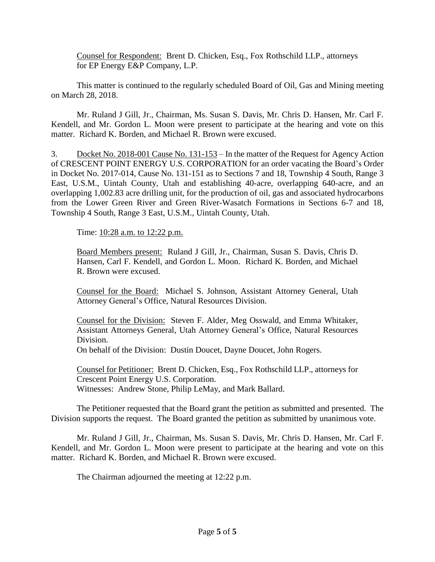Counsel for Respondent: Brent D. Chicken, Esq., Fox Rothschild LLP., attorneys for EP Energy E&P Company, L.P.

This matter is continued to the regularly scheduled Board of Oil, Gas and Mining meeting on March 28, 2018.

Mr. Ruland J Gill, Jr., Chairman, Ms. Susan S. Davis, Mr. Chris D. Hansen, Mr. Carl F. Kendell, and Mr. Gordon L. Moon were present to participate at the hearing and vote on this matter. Richard K. Borden, and Michael R. Brown were excused.

3. Docket No. 2018-001 Cause No. 131-153 – In the matter of the Request for Agency Action of CRESCENT POINT ENERGY U.S. CORPORATION for an order vacating the Board's Order in Docket No. 2017-014, Cause No. 131-151 as to Sections 7 and 18, Township 4 South, Range 3 East, U.S.M., Uintah County, Utah and establishing 40-acre, overlapping 640-acre, and an overlapping 1,002.83 acre drilling unit, for the production of oil, gas and associated hydrocarbons from the Lower Green River and Green River-Wasatch Formations in Sections 6-7 and 18, Township 4 South, Range 3 East, U.S.M., Uintah County, Utah.

Time: 10:28 a.m. to 12:22 p.m.

Board Members present: Ruland J Gill, Jr., Chairman, Susan S. Davis, Chris D. Hansen, Carl F. Kendell, and Gordon L. Moon. Richard K. Borden, and Michael R. Brown were excused.

Counsel for the Board: Michael S. Johnson, Assistant Attorney General, Utah Attorney General's Office, Natural Resources Division.

Counsel for the Division: Steven F. Alder, Meg Osswald, and Emma Whitaker, Assistant Attorneys General, Utah Attorney General's Office, Natural Resources Division.

On behalf of the Division: Dustin Doucet, Dayne Doucet, John Rogers.

Counsel for Petitioner: Brent D. Chicken, Esq., Fox Rothschild LLP., attorneys for Crescent Point Energy U.S. Corporation. Witnesses: Andrew Stone, Philip LeMay, and Mark Ballard.

The Petitioner requested that the Board grant the petition as submitted and presented. The Division supports the request. The Board granted the petition as submitted by unanimous vote.

Mr. Ruland J Gill, Jr., Chairman, Ms. Susan S. Davis, Mr. Chris D. Hansen, Mr. Carl F. Kendell, and Mr. Gordon L. Moon were present to participate at the hearing and vote on this matter. Richard K. Borden, and Michael R. Brown were excused.

The Chairman adjourned the meeting at 12:22 p.m.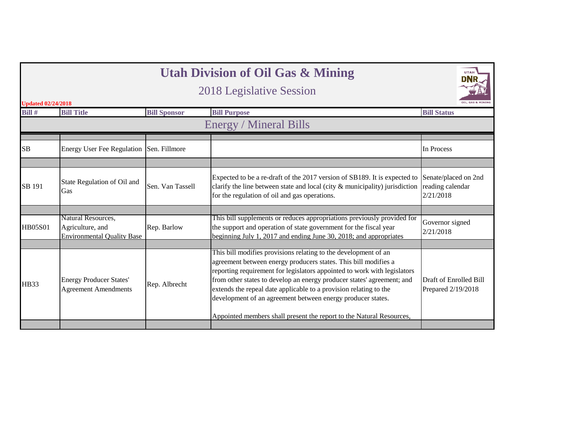|                                            |                                                                             |                     | <b>Utah Division of Oil Gas &amp; Mining</b><br>2018 Legislative Session                                                                                                                                                                                                                                                                                                                                                                                                                             | <b>UTAH</b>                                           |
|--------------------------------------------|-----------------------------------------------------------------------------|---------------------|------------------------------------------------------------------------------------------------------------------------------------------------------------------------------------------------------------------------------------------------------------------------------------------------------------------------------------------------------------------------------------------------------------------------------------------------------------------------------------------------------|-------------------------------------------------------|
| <b>Updated 02/24/2018</b><br><b>Bill #</b> | <b>Bill Title</b>                                                           | <b>Bill Sponsor</b> | <b>Bill Purpose</b>                                                                                                                                                                                                                                                                                                                                                                                                                                                                                  | <b>Bill Status</b>                                    |
|                                            |                                                                             |                     | <b>Energy / Mineral Bills</b>                                                                                                                                                                                                                                                                                                                                                                                                                                                                        |                                                       |
|                                            |                                                                             |                     |                                                                                                                                                                                                                                                                                                                                                                                                                                                                                                      |                                                       |
| SB                                         | Energy User Fee Regulation Sen. Fillmore                                    |                     |                                                                                                                                                                                                                                                                                                                                                                                                                                                                                                      | In Process                                            |
|                                            |                                                                             |                     |                                                                                                                                                                                                                                                                                                                                                                                                                                                                                                      |                                                       |
| SB 191                                     | State Regulation of Oil and<br>Gas                                          | Sen. Van Tassell    | Expected to be a re-draft of the 2017 version of SB189. It is expected to<br>clarify the line between state and local (city $\&$ municipality) jurisdiction<br>for the regulation of oil and gas operations.                                                                                                                                                                                                                                                                                         | Senate/placed on 2nd<br>reading calendar<br>2/21/2018 |
|                                            |                                                                             |                     |                                                                                                                                                                                                                                                                                                                                                                                                                                                                                                      |                                                       |
| <b>HB05S01</b>                             | Natural Resources,<br>Agriculture, and<br><b>Environmental Quality Base</b> | Rep. Barlow         | This bill supplements or reduces appropriations previously provided for<br>the support and operation of state government for the fiscal year<br>beginning July 1, 2017 and ending June 30, 2018; and appropriates                                                                                                                                                                                                                                                                                    | Governor signed<br>2/21/2018                          |
|                                            |                                                                             |                     |                                                                                                                                                                                                                                                                                                                                                                                                                                                                                                      |                                                       |
| <b>HB33</b>                                | <b>Energy Producer States'</b><br><b>Agreement Amendments</b>               | Rep. Albrecht       | This bill modifies provisions relating to the development of an<br>agreement between energy producers states. This bill modifies a<br>reporting requirement for legislators appointed to work with legislators<br>from other states to develop an energy producer states' agreement; and<br>extends the repeal date applicable to a provision relating to the<br>development of an agreement between energy producer states.<br>Appointed members shall present the report to the Natural Resources, | Draft of Enrolled Bill<br>Prepared 2/19/2018          |
|                                            |                                                                             |                     |                                                                                                                                                                                                                                                                                                                                                                                                                                                                                                      |                                                       |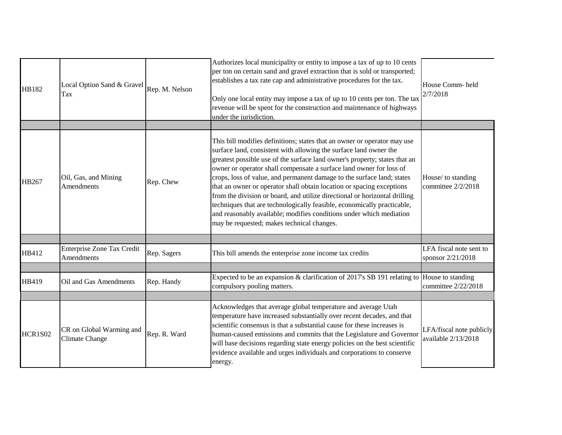| <b>HB182</b>   | Local Option Sand & Gravel Rep. M. Nelson<br>Tax  |              | Authorizes local municipality or entity to impose a tax of up to 10 cents<br>per ton on certain sand and gravel extraction that is sold or transported;<br>establishes a tax rate cap and administrative procedures for the tax.<br>Only one local entity may impose a tax of up to 10 cents per ton. The tax<br>revenue will be spent for the construction and maintenance of highways<br>under the jurisdiction.                                                                                                                                                                                                                                                                                                                  | House Comm-held<br>2/7/2018                     |
|----------------|---------------------------------------------------|--------------|-------------------------------------------------------------------------------------------------------------------------------------------------------------------------------------------------------------------------------------------------------------------------------------------------------------------------------------------------------------------------------------------------------------------------------------------------------------------------------------------------------------------------------------------------------------------------------------------------------------------------------------------------------------------------------------------------------------------------------------|-------------------------------------------------|
|                |                                                   |              |                                                                                                                                                                                                                                                                                                                                                                                                                                                                                                                                                                                                                                                                                                                                     |                                                 |
| HB267          | Oil, Gas, and Mining<br>Amendments                | Rep. Chew    | This bill modifies definitions; states that an owner or operator may use<br>surface land, consistent with allowing the surface land owner the<br>greatest possible use of the surface land owner's property; states that an<br>owner or operator shall compensate a surface land owner for loss of<br>crops, loss of value, and permanent damage to the surface land; states<br>that an owner or operator shall obtain location or spacing exceptions<br>from the division or board, and utilize directional or horizontal drilling<br>techniques that are technologically feasible, economically practicable,<br>and reasonably available; modifies conditions under which mediation<br>may be requested; makes technical changes. | House/ to standing<br>committee 2/2/2018        |
| HB412          | Enterprise Zone Tax Credit<br>Amendments          | Rep. Sagers  | This bill amends the enterprise zone income tax credits                                                                                                                                                                                                                                                                                                                                                                                                                                                                                                                                                                                                                                                                             | LFA fiscal note sent to<br>sponsor 2/21/2018    |
| HB419          | Oil and Gas Amendments                            | Rep. Handy   | Expected to be an expansion & clarification of 2017's SB 191 relating to House to standing<br>compulsory pooling matters.                                                                                                                                                                                                                                                                                                                                                                                                                                                                                                                                                                                                           | committee 2/22/2018                             |
|                |                                                   |              | Acknowledges that average global temperature and average Utah                                                                                                                                                                                                                                                                                                                                                                                                                                                                                                                                                                                                                                                                       |                                                 |
| <b>HCR1S02</b> | CR on Global Warming and<br><b>Climate Change</b> | Rep. R. Ward | temperature have increased substantially over recent decades, and that<br>scientific consensus is that a substantial cause for these increases is<br>human-caused emissions and commits that the Legislature and Governor<br>will base decisions regarding state energy policies on the best scientific<br>evidence available and urges individuals and corporations to conserve<br>energy.                                                                                                                                                                                                                                                                                                                                         | LFA/fiscal note publicly<br>available 2/13/2018 |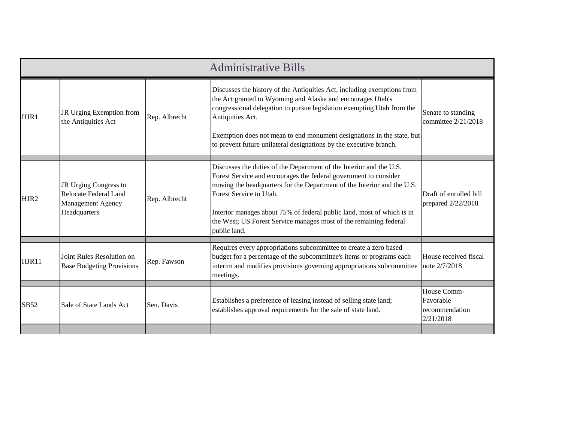|       |                                                                                            |               | <b>Administrative Bills</b>                                                                                                                                                                                                                                                                                                                                                                                  |                                                         |
|-------|--------------------------------------------------------------------------------------------|---------------|--------------------------------------------------------------------------------------------------------------------------------------------------------------------------------------------------------------------------------------------------------------------------------------------------------------------------------------------------------------------------------------------------------------|---------------------------------------------------------|
| HJR1  | JR Urging Exemption from<br>the Antiquities Act                                            | Rep. Albrecht | Discusses the history of the Antiquities Act, including exemptions from<br>the Act granted to Wyoming and Alaska and encourages Utah's<br>congressional delegation to pursue legislation exempting Utah from the<br>Antiquities Act.<br>Exemption does not mean to end monument designations in the state, but<br>to prevent future unilateral designations by the executive branch.                         | Senate to standing<br>committee $2/21/2018$             |
| HJR2  | JR Urging Congress to<br><b>Relocate Federal Land</b><br>Management Agency<br>Headquarters | Rep. Albrecht | Discusses the duties of the Department of the Interior and the U.S.<br>Forest Service and encourages the federal government to consider<br>moving the headquarters for the Department of the Interior and the U.S.<br>Forest Service to Utah.<br>Interior manages about 75% of federal public land, most of which is in<br>the West; US Forest Service manages most of the remaining federal<br>public land. | Draft of enrolled bill<br>prepared 2/22/2018            |
| HJR11 | Joint Rules Resolution on<br><b>Base Budgeting Provisions</b>                              | Rep. Fawson   | Requires every appropriations subcommittee to create a zero based<br>budget for a percentage of the subcommittee's items or programs each<br>interim and modifies provisions governing appropriations subcommittee<br>meetings.                                                                                                                                                                              | House received fiscal<br>note 2/7/2018                  |
| SB52  | Sale of State Lands Act                                                                    | Sen. Davis    | Establishes a preference of leasing instead of selling state land;<br>establishes approval requirements for the sale of state land.                                                                                                                                                                                                                                                                          | House Comm-<br>Favorable<br>recommendation<br>2/21/2018 |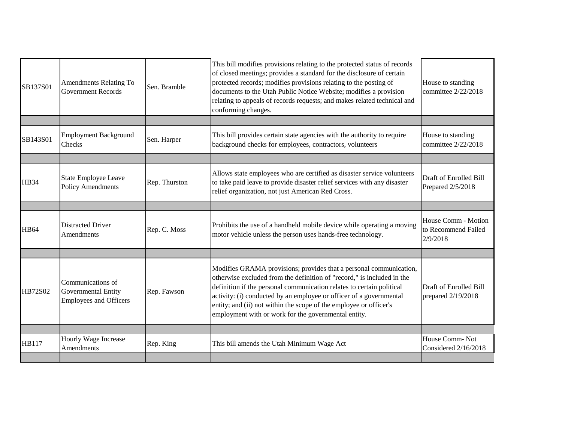| Amendments Relating To<br><b>Government Records</b>                              | Sen. Bramble         | This bill modifies provisions relating to the protected status of records<br>of closed meetings; provides a standard for the disclosure of certain<br>protected records; modifies provisions relating to the posting of<br>documents to the Utah Public Notice Website; modifies a provision<br>relating to appeals of records requests; and makes related technical and<br>conforming changes.                            | House to standing<br>committee 2/22/2018               |
|----------------------------------------------------------------------------------|----------------------|----------------------------------------------------------------------------------------------------------------------------------------------------------------------------------------------------------------------------------------------------------------------------------------------------------------------------------------------------------------------------------------------------------------------------|--------------------------------------------------------|
|                                                                                  |                      |                                                                                                                                                                                                                                                                                                                                                                                                                            |                                                        |
| <b>Employment Background</b><br>Checks                                           | Sen. Harper          | This bill provides certain state agencies with the authority to require<br>background checks for employees, contractors, volunteers                                                                                                                                                                                                                                                                                        | House to standing<br>committee 2/22/2018               |
|                                                                                  |                      |                                                                                                                                                                                                                                                                                                                                                                                                                            |                                                        |
| State Employee Leave<br><b>Policy Amendments</b>                                 | Rep. Thurston        | Allows state employees who are certified as disaster service volunteers<br>to take paid leave to provide disaster relief services with any disaster<br>relief organization, not just American Red Cross.                                                                                                                                                                                                                   | Draft of Enrolled Bill<br>Prepared 2/5/2018            |
|                                                                                  |                      |                                                                                                                                                                                                                                                                                                                                                                                                                            |                                                        |
| <b>Distracted Driver</b><br><b>Amendments</b>                                    | Rep. C. Moss         | Prohibits the use of a handheld mobile device while operating a moving<br>motor vehicle unless the person uses hands-free technology.                                                                                                                                                                                                                                                                                      | House Comm - Motion<br>to Recommend Failed<br>2/9/2018 |
|                                                                                  |                      |                                                                                                                                                                                                                                                                                                                                                                                                                            |                                                        |
| Communications of<br><b>Governmental Entity</b><br><b>Employees and Officers</b> | Rep. Fawson          | Modifies GRAMA provisions; provides that a personal communication,<br>otherwise excluded from the definition of "record," is included in the<br>definition if the personal communication relates to certain political<br>activity: (i) conducted by an employee or officer of a governmental<br>entity; and (ii) not within the scope of the employee or officer's<br>employment with or work for the governmental entity. | <b>Draft of Enrolled Bill</b><br>prepared 2/19/2018    |
|                                                                                  |                      |                                                                                                                                                                                                                                                                                                                                                                                                                            |                                                        |
| Amendments                                                                       | Rep. King            | This bill amends the Utah Minimum Wage Act                                                                                                                                                                                                                                                                                                                                                                                 | House Comm-Not<br>Considered 2/16/2018                 |
|                                                                                  | Hourly Wage Increase |                                                                                                                                                                                                                                                                                                                                                                                                                            |                                                        |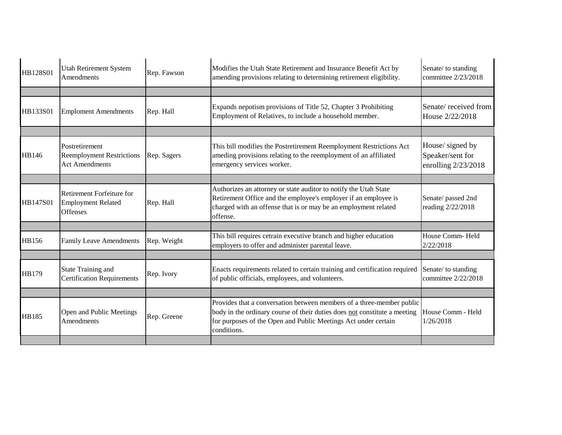| HB128S01 | Utah Retirement System<br>Amendments                                        | Rep. Fawson | Modifies the Utah State Retirement and Insurance Benefit Act by<br>amending provisions relating to determining retirement eligibility.                                                                                              | Senate/to standing<br>committee 2/23/2018                     |
|----------|-----------------------------------------------------------------------------|-------------|-------------------------------------------------------------------------------------------------------------------------------------------------------------------------------------------------------------------------------------|---------------------------------------------------------------|
|          |                                                                             |             |                                                                                                                                                                                                                                     |                                                               |
| HB133S01 | <b>Emploment Amendments</b>                                                 | Rep. Hall   | Expands nepotism provisions of Title 52, Chapter 3 Prohibiting<br>Employment of Relatives, to include a household member.                                                                                                           | Senate/received from<br>House 2/22/2018                       |
|          |                                                                             |             |                                                                                                                                                                                                                                     |                                                               |
| HB146    | Postretirement<br><b>Reemployment Restrictions</b><br><b>Act Amendments</b> | Rep. Sagers | This bill modifies the Postretirement Reemployment Restrictions Act<br>ameding provisions relating to the reemployment of an affiliated<br>emergency services worker.                                                               | House/ signed by<br>Speaker/sent for<br>enrolling $2/23/2018$ |
|          |                                                                             |             |                                                                                                                                                                                                                                     |                                                               |
| HB147S01 | Retirement Forfeiture for<br><b>Employment Related</b><br>Offenses          | Rep. Hall   | Authorizes an attorney or state auditor to notify the Utah State<br>Retirement Office and the employee's employer if an employee is<br>charged with an offense that is or may be an employment related<br>offense.                  | Senate/passed 2nd<br>reading 2/22/2018                        |
|          |                                                                             |             |                                                                                                                                                                                                                                     |                                                               |
| HB156    | <b>Family Leave Amendments</b>                                              | Rep. Weight | This bill requires cetrain executive branch and higher education<br>employers to offer and administer parental leave.                                                                                                               | House Comm-Held<br>2/22/2018                                  |
|          |                                                                             |             |                                                                                                                                                                                                                                     |                                                               |
| HB179    | State Training and<br><b>Certification Requirements</b>                     | Rep. Ivory  | Enacts requirements related to certain training and certification required<br>of public officials, employees, and volunteers.                                                                                                       | Senate/to standing<br>committee 2/22/2018                     |
|          |                                                                             |             |                                                                                                                                                                                                                                     |                                                               |
| HB185    | Open and Public Meetings<br>Amendments                                      | Rep. Greene | Provides that a conversation between members of a three-member public<br>body in the ordinary course of their duties does not constitute a meeting<br>for purposes of the Open and Public Meetings Act under certain<br>conditions. | House Comm - Held<br>1/26/2018                                |
|          |                                                                             |             |                                                                                                                                                                                                                                     |                                                               |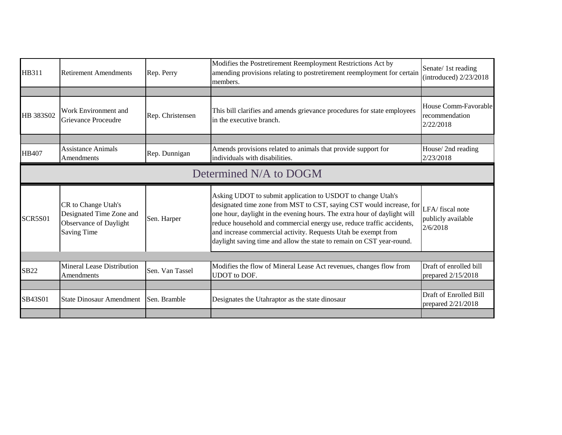| HB311          | <b>Retirement Amendments</b>                                                                    | Rep. Perry       | Modifies the Postretirement Reemployment Restrictions Act by<br>amending provisions relating to postretirement reemployment for certain<br>members.                                                                                                                                                                                                                                                                                 | Senate/ 1st reading<br>(introduced) $2/23/2018$     |
|----------------|-------------------------------------------------------------------------------------------------|------------------|-------------------------------------------------------------------------------------------------------------------------------------------------------------------------------------------------------------------------------------------------------------------------------------------------------------------------------------------------------------------------------------------------------------------------------------|-----------------------------------------------------|
|                |                                                                                                 |                  |                                                                                                                                                                                                                                                                                                                                                                                                                                     |                                                     |
| HB 383S02      | Work Environment and<br>Grievance Proceudre                                                     | Rep. Christensen | This bill clarifies and amends grievance procedures for state employees<br>in the executive branch.                                                                                                                                                                                                                                                                                                                                 | House Comm-Favorable<br>recommendation<br>2/22/2018 |
|                |                                                                                                 |                  |                                                                                                                                                                                                                                                                                                                                                                                                                                     |                                                     |
| <b>HB407</b>   | <b>Assistance Animals</b><br>Amendments                                                         | Rep. Dunnigan    | Amends provisions related to animals that provide support for<br>individuals with disabilities.                                                                                                                                                                                                                                                                                                                                     | House/2nd reading<br>2/23/2018                      |
|                |                                                                                                 |                  | Determined N/A to DOGM                                                                                                                                                                                                                                                                                                                                                                                                              |                                                     |
| <b>SCR5S01</b> | CR to Change Utah's<br>Designated Time Zone and<br>Observance of Daylight<br><b>Saving Time</b> | Sen. Harper      | Asking UDOT to submit application to USDOT to change Utah's<br>designated time zone from MST to CST, saying CST would increase, for<br>one hour, daylight in the evening hours. The extra hour of daylight will<br>reduce household and commercial energy use, reduce traffic accidents,<br>and increase commercial activity. Requests Utah be exempt from<br>daylight saving time and allow the state to remain on CST year-round. | LFA/fiscal note<br>publicly available<br>2/6/2018   |
|                |                                                                                                 |                  |                                                                                                                                                                                                                                                                                                                                                                                                                                     |                                                     |
| SB22           | Mineral Lease Distribution<br>Amendments                                                        | Sen. Van Tassel  | Modifies the flow of Mineral Lease Act revenues, changes flow from<br><b>UDOT</b> to DOF.                                                                                                                                                                                                                                                                                                                                           | Draft of enrolled bill<br>prepared 2/15/2018        |
|                |                                                                                                 |                  |                                                                                                                                                                                                                                                                                                                                                                                                                                     |                                                     |
| SB43S01        | <b>State Dinosaur Amendment</b>                                                                 | Sen. Bramble     | Designates the Utahraptor as the state dinosaur                                                                                                                                                                                                                                                                                                                                                                                     | Draft of Enrolled Bill<br>prepared 2/21/2018        |
|                |                                                                                                 |                  |                                                                                                                                                                                                                                                                                                                                                                                                                                     |                                                     |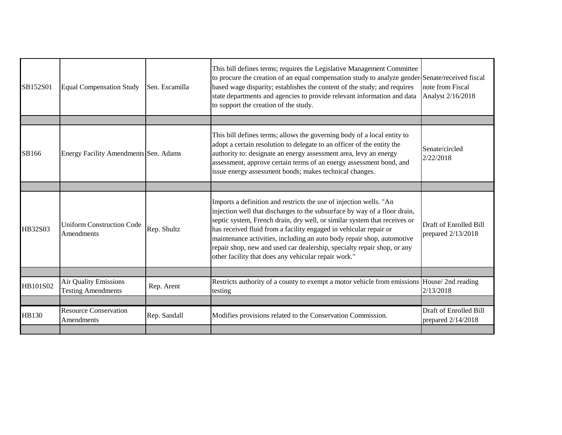| SB152S01     | <b>Equal Compensation Study</b>                    | Sen. Escamilla | This bill defines terms; requires the Legislative Management Committee<br>to procure the creation of an equal compensation study to analyze gender Senate/received fiscal<br>based wage disparity; establishes the content of the study; and requires<br>state departments and agencies to provide relevant information and data<br>to support the creation of the study.                                                                                                                                      | note from Fiscal<br>Analyst 2/16/2018               |
|--------------|----------------------------------------------------|----------------|----------------------------------------------------------------------------------------------------------------------------------------------------------------------------------------------------------------------------------------------------------------------------------------------------------------------------------------------------------------------------------------------------------------------------------------------------------------------------------------------------------------|-----------------------------------------------------|
|              |                                                    |                |                                                                                                                                                                                                                                                                                                                                                                                                                                                                                                                |                                                     |
| SB166        | Energy Facility Amendments Sen. Adams              |                | This bill defines terms; allows the governing body of a local entity to<br>adopt a certain resolution to delegate to an officer of the entity the<br>authority to: designate an energy assessment area, levy an energy<br>assessment, approve certain terms of an energy assessment bond, and<br>issue energy assessment bonds; makes technical changes.                                                                                                                                                       | Senate/circled<br>2/22/2018                         |
|              |                                                    |                |                                                                                                                                                                                                                                                                                                                                                                                                                                                                                                                |                                                     |
| HB32S03      | <b>Uniform Construction Code</b><br>Amendments     | Rep. Shultz    | Imports a definition and restricts the use of injection wells. "An<br>injection well that discharges to the subsurface by way of a floor drain,<br>septic system, French drain, dry well, or similar system that receives or<br>has received fluid from a facility engaged in vehicular repair or<br>maintenance activities, including an auto body repair shop, automotive<br>repair shop, new and used car dealership, specialty repair shop, or any<br>other facility that does any vehicular repair work." | Draft of Enrolled Bill<br>prepared 2/13/2018        |
|              |                                                    |                |                                                                                                                                                                                                                                                                                                                                                                                                                                                                                                                |                                                     |
| HB101S02     | Air Quality Emissions<br><b>Testing Amendments</b> | Rep. Arent     | Restricts authority of a county to exempt a motor vehicle from emissions House/2nd reading<br>testing                                                                                                                                                                                                                                                                                                                                                                                                          | 2/13/2018                                           |
|              |                                                    |                |                                                                                                                                                                                                                                                                                                                                                                                                                                                                                                                |                                                     |
| <b>HB130</b> | <b>Resource Conservation</b><br>Amendments         | Rep. Sandall   | Modifies provisions related to the Conservation Commission.                                                                                                                                                                                                                                                                                                                                                                                                                                                    | <b>Draft of Enrolled Bill</b><br>prepared 2/14/2018 |
|              |                                                    |                |                                                                                                                                                                                                                                                                                                                                                                                                                                                                                                                |                                                     |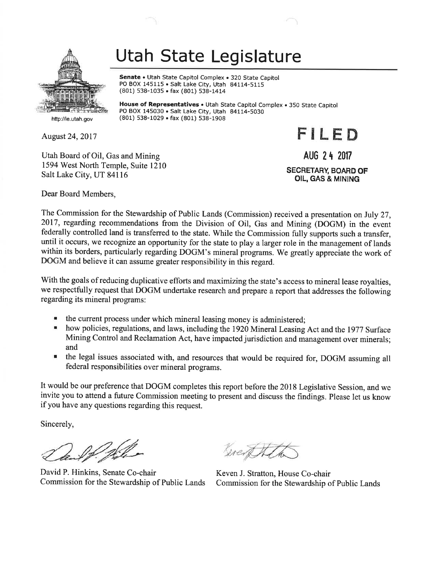

Utah State Legislature

House of Representatives • Utah State Capitol Complex • 350 State Capitol

Senate . Utah State Capitol Complex . 320 State Capitol PO BOX 145115 . Salt Lake City, Utah 84114-5115 (801) 538-1035 . fax (801) 538-1414

PO BOX 145030. Salt Lake City, Utah 84114-5030

http://le.utah.gov (801) 538-1029 · fax (801) 538-1908

August 24,2017

Utah Board of Oil, Gas and Mining 1594 West North Temple, Suite 1210 Salt Lake City, UT 84116

AUG 2 4 2017 SECRETARY, BOARD OF OIL, GAS & MINING

FILED

Dear Board Members,

The Commission for the Stewardship of Public Lands (Commission) received a presentation on July 27, 2017, regarding recommendations from the Division of Oil, Gas and Mining (DOGM) in the event federally controlled land is transferred to the state. While the Commission fully supports such a transfer, until it occurs, we recognize an opportunity for the state to play a larger role in the management of lands within its borders, particularly regarding DOGM's mineral programs. We greatly appreciate the work of DOGM and believe it can assume greater responsibility in this regard.

With the goals of reducing duplicative efforts and maximizing the state's access to mineral lease royalties, we respectfully request that DOGM undertake research and prepare a report that addresses the following regarding its mineral programs:

- 
- the current process under which mineral leasing money is administered;<br>■ how policies, regulations, and laws, including the 1920 Mineral Leasing Act and the 1977 Surface Mining Control and Reclamation Act, have impacted jurisdiction and management over minerals; and
- <sup>n</sup> the legal issues associated with, and resources that would be required for, DOGM assuming all federal responsibilities over mineral programs.

It would be our preference that DOGM completes this report before the 2018 Legislative Session, and we invite you to attend a future Commission meeting to present and discuss the findings. Please let us know if you have any questions regarding this request.

Sincerely,

! Hill

David P. Hinkins, Senate Co-chair Commission for the Stewardship of Public Lands

Suenth

Keven J. Stratton, House Co-chair Commission for the Stewardship of Public Lands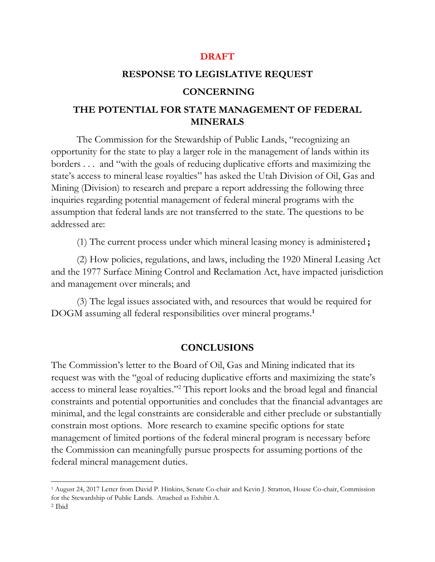#### **DRAFT**

#### **RESPONSE TO LEGISLATIVE REQUEST**

#### **CONCERNING**

#### **THE POTENTIAL FOR STATE MANAGEMENT OF FEDERAL MINERALS**

The Commission for the Stewardship of Public Lands, "recognizing an opportunity for the state to play a larger role in the management of lands within its borders . . . and "with the goals of reducing duplicative efforts and maximizing the state's access to mineral lease royalties" has asked the Utah Division of Oil, Gas and Mining (Division) to research and prepare a report addressing the following three inquiries regarding potential management of federal mineral programs with the assumption that federal lands are not transferred to the state. The questions to be addressed are:

(1) The current process under which mineral leasing money is administered **;**

(2) How policies, regulations, and laws, including the 1920 Mineral Leasing Act and the 1977 Surface Mining Control and Reclamation Act, have impacted jurisdiction and management over minerals; and

(3) The legal issues associated with, and resources that would be required for DOGM assuming all federal responsibilities over mineral programs.**<sup>1</sup>**

#### **CONCLUSIONS**

The Commission's letter to the Board of Oil, Gas and Mining indicated that its request was with the "goal of reducing duplicative efforts and maximizing the state's access to mineral lease royalties." <sup>2</sup> This report looks and the broad legal and financial constraints and potential opportunities and concludes that the financial advantages are minimal, and the legal constraints are considerable and either preclude or substantially constrain most options. More research to examine specific options for state management of limited portions of the federal mineral program is necessary before the Commission can meaningfully pursue prospects for assuming portions of the federal mineral management duties.

l

<sup>1</sup> August 24, 2017 Letter from David P. Hinkins, Senate Co-chair and Kevin J. Stratton, House Co-chair, Commission for the Stewardship of Public Lands. Attached as Exhibit A.

<sup>2</sup> Ibid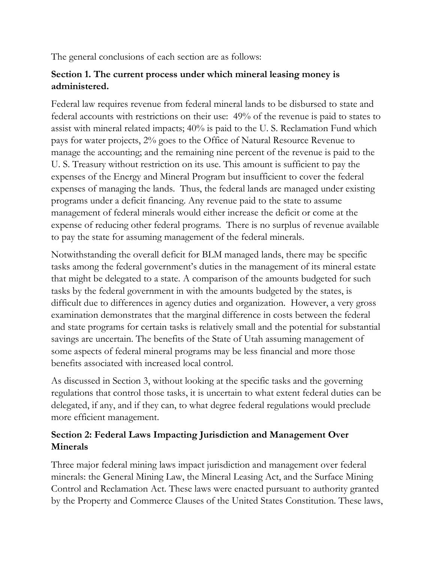The general conclusions of each section are as follows:

### **Section 1. The current process under which mineral leasing money is administered.**

Federal law requires revenue from federal mineral lands to be disbursed to state and federal accounts with restrictions on their use: 49% of the revenue is paid to states to assist with mineral related impacts; 40% is paid to the U. S. Reclamation Fund which pays for water projects, 2% goes to the Office of Natural Resource Revenue to manage the accounting; and the remaining nine percent of the revenue is paid to the U. S. Treasury without restriction on its use. This amount is sufficient to pay the expenses of the Energy and Mineral Program but insufficient to cover the federal expenses of managing the lands. Thus, the federal lands are managed under existing programs under a deficit financing. Any revenue paid to the state to assume management of federal minerals would either increase the deficit or come at the expense of reducing other federal programs. There is no surplus of revenue available to pay the state for assuming management of the federal minerals.

Notwithstanding the overall deficit for BLM managed lands, there may be specific tasks among the federal government's duties in the management of its mineral estate that might be delegated to a state. A comparison of the amounts budgeted for such tasks by the federal government in with the amounts budgeted by the states, is difficult due to differences in agency duties and organization. However, a very gross examination demonstrates that the marginal difference in costs between the federal and state programs for certain tasks is relatively small and the potential for substantial savings are uncertain. The benefits of the State of Utah assuming management of some aspects of federal mineral programs may be less financial and more those benefits associated with increased local control.

As discussed in Section 3, without looking at the specific tasks and the governing regulations that control those tasks, it is uncertain to what extent federal duties can be delegated, if any, and if they can, to what degree federal regulations would preclude more efficient management.

### **Section 2: Federal Laws Impacting Jurisdiction and Management Over Minerals**

Three major federal mining laws impact jurisdiction and management over federal minerals: the General Mining Law, the Mineral Leasing Act, and the Surface Mining Control and Reclamation Act. These laws were enacted pursuant to authority granted by the Property and Commerce Clauses of the United States Constitution. These laws,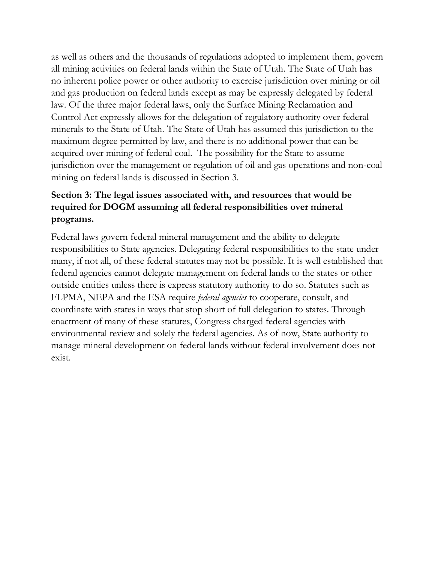as well as others and the thousands of regulations adopted to implement them, govern all mining activities on federal lands within the State of Utah. The State of Utah has no inherent police power or other authority to exercise jurisdiction over mining or oil and gas production on federal lands except as may be expressly delegated by federal law. Of the three major federal laws, only the Surface Mining Reclamation and Control Act expressly allows for the delegation of regulatory authority over federal minerals to the State of Utah. The State of Utah has assumed this jurisdiction to the maximum degree permitted by law, and there is no additional power that can be acquired over mining of federal coal. The possibility for the State to assume jurisdiction over the management or regulation of oil and gas operations and non-coal mining on federal lands is discussed in Section 3.

### **Section 3: The legal issues associated with, and resources that would be required for DOGM assuming all federal responsibilities over mineral programs.**

Federal laws govern federal mineral management and the ability to delegate responsibilities to State agencies. Delegating federal responsibilities to the state under many, if not all, of these federal statutes may not be possible. It is well established that federal agencies cannot delegate management on federal lands to the states or other outside entities unless there is express statutory authority to do so. Statutes such as FLPMA, NEPA and the ESA require *federal agencies* to cooperate, consult, and coordinate with states in ways that stop short of full delegation to states. Through enactment of many of these statutes, Congress charged federal agencies with environmental review and solely the federal agencies. As of now, State authority to manage mineral development on federal lands without federal involvement does not exist.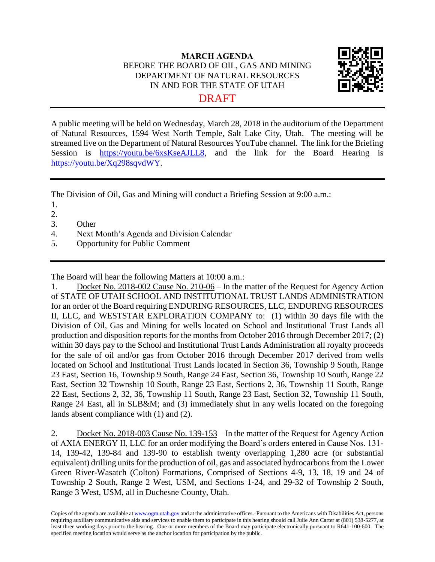#### **MARCH AGENDA** BEFORE THE BOARD OF OIL, GAS AND MINING DEPARTMENT OF NATURAL RESOURCES IN AND FOR THE STATE OF UTAH DRAFT



A public meeting will be held on Wednesday, March 28, 2018 in the auditorium of the Department of Natural Resources, 1594 West North Temple, Salt Lake City, Utah. The meeting will be streamed live on the Department of Natural Resources YouTube channel. The link for the Briefing Session is [https://youtu.be/6xsKseAJLL8,](https://youtu.be/6xsKseAJLL8) and the link for the Board Hearing is [https://youtu.be/Xq298sqvdWY.](https://youtu.be/Xq298sqvdWY)

The Division of Oil, Gas and Mining will conduct a Briefing Session at 9:00 a.m.:

- 1.
- 2.
- 3. Other
- 4. Next Month's Agenda and Division Calendar
- 5. Opportunity for Public Comment

The Board will hear the following Matters at 10:00 a.m.:

1. Docket No. 2018-002 Cause No. 210-06 – In the matter of the Request for Agency Action of STATE OF UTAH SCHOOL AND INSTITUTIONAL TRUST LANDS ADMINISTRATION for an order of the Board requiring ENDURING RESOURCES, LLC, ENDURING RESOURCES II, LLC, and WESTSTAR EXPLORATION COMPANY to: (1) within 30 days file with the Division of Oil, Gas and Mining for wells located on School and Institutional Trust Lands all production and disposition reports for the months from October 2016 through December 2017; (2) within 30 days pay to the School and Institutional Trust Lands Administration all royalty proceeds for the sale of oil and/or gas from October 2016 through December 2017 derived from wells located on School and Institutional Trust Lands located in Section 36, Township 9 South, Range 23 East, Section 16, Township 9 South, Range 24 East, Section 36, Township 10 South, Range 22 East, Section 32 Township 10 South, Range 23 East, Sections 2, 36, Township 11 South, Range 22 East, Sections 2, 32, 36, Township 11 South, Range 23 East, Section 32, Township 11 South, Range 24 East, all in SLB&M; and (3) immediately shut in any wells located on the foregoing lands absent compliance with (1) and (2).

2. Docket No. 2018-003 Cause No. 139-153 – In the matter of the Request for Agency Action of AXIA ENERGY II, LLC for an order modifying the Board's orders entered in Cause Nos. 131- 14, 139-42, 139-84 and 139-90 to establish twenty overlapping 1,280 acre (or substantial equivalent) drilling units for the production of oil, gas and associated hydrocarbons from the Lower Green River-Wasatch (Colton) Formations, Comprised of Sections 4-9, 13, 18, 19 and 24 of Township 2 South, Range 2 West, USM, and Sections 1-24, and 29-32 of Township 2 South, Range 3 West, USM, all in Duchesne County, Utah.

Copies of the agenda are available a[t www.ogm.utah.gov](http://www.ogm.utah.gov/) and at the administrative offices. Pursuant to the Americans with Disabilities Act, persons requiring auxiliary communicative aids and services to enable them to participate in this hearing should call Julie Ann Carter at (801) 538-5277, at least three working days prior to the hearing. One or more members of the Board may participate electronically pursuant to R641-100-600. The specified meeting location would serve as the anchor location for participation by the public.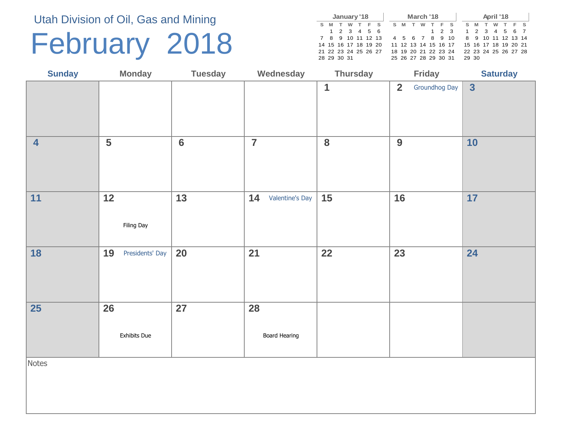Utah Division of Oil, Gas and Mining

# February 2018

|  |                      | January '18 |  |  | March '18 |       |  |  |                      |  |                                           |  | April '18 |  |       |                      |  |  |  |
|--|----------------------|-------------|--|--|-----------|-------|--|--|----------------------|--|-------------------------------------------|--|-----------|--|-------|----------------------|--|--|--|
|  | S M T W T F S        |             |  |  |           | S M T |  |  | W T F S              |  |                                           |  |           |  | S M T | W T F S              |  |  |  |
|  |                      | 1 2 3 4 5 6 |  |  |           |       |  |  |                      |  | 1 2 3                                     |  |           |  |       | 1 2 3 4 5 6 7        |  |  |  |
|  | 7 8 9 10 11 12 13    |             |  |  |           |       |  |  |                      |  | 4 5 6 7 8 9 10 8 9 10 11 12 13 14         |  |           |  |       |                      |  |  |  |
|  | 14 15 16 17 18 19 20 |             |  |  |           |       |  |  |                      |  | 11 12 13 14 15 16 17 15 16 17 18 19 20 21 |  |           |  |       |                      |  |  |  |
|  | 21 22 23 24 25 26 27 |             |  |  |           |       |  |  | 18 19 20 21 22 23 24 |  |                                           |  |           |  |       | 22 23 24 25 26 27 28 |  |  |  |
|  | 28 29 30 31          |             |  |  |           |       |  |  |                      |  | 25 26 27 28 29 30 31                      |  | -29.30    |  |       |                      |  |  |  |

| <b>Sunday</b>           | <b>Monday</b>         | <b>Tuesday</b>  | Wednesday           | <b>Thursday</b> | Friday                          | <b>Saturday</b>         |
|-------------------------|-----------------------|-----------------|---------------------|-----------------|---------------------------------|-------------------------|
|                         |                       |                 |                     | $\mathbf{1}$    | $\overline{2}$<br>Groundhog Day | $\overline{\mathbf{3}}$ |
| $\overline{\mathbf{4}}$ | 5                     | $6\phantom{1}6$ | $\overline{7}$      | 8               | 9                               | 10                      |
| 11                      | $12$<br>Filing Day    | 13              | 14 Valentine's Day  | 15              | 16                              | 17                      |
| 18                      | 19<br>Presidents' Day | 20              | 21                  | 22              | 23                              | 24                      |
| 25                      | 26<br>Exhibits Due    | 27              | 28<br>Board Hearing |                 |                                 |                         |

Notes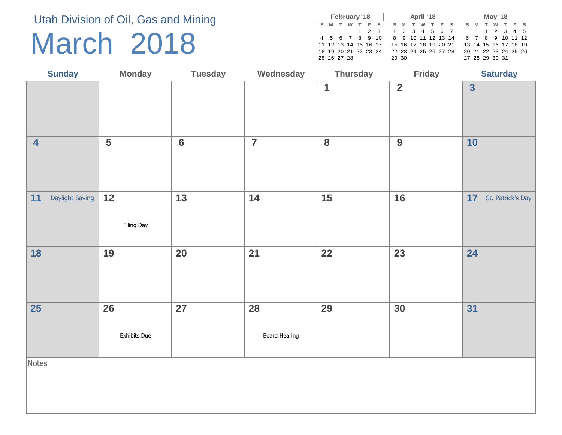## Utah Division of Oil, Gas and Mining

# March 2018

|                      |   | February '18 |             |  | April '18 |       |  |   |                      |  |  |  | <b>May '18</b> |       |  |                      |         |  |  |  |
|----------------------|---|--------------|-------------|--|-----------|-------|--|---|----------------------|--|--|--|----------------|-------|--|----------------------|---------|--|--|--|
| S M                  | T | W T F S      |             |  |           | S M T |  | w | T F S                |  |  |  |                | S M T |  |                      | W T F S |  |  |  |
|                      |   |              | $1 \t2 \t3$ |  |           |       |  |   | 1 2 3 4 5 6 7        |  |  |  |                |       |  | 1 2 3 4 5            |         |  |  |  |
| 4 5 6 7 8 9 10       |   |              |             |  |           |       |  |   | 8 9 10 11 12 13 14   |  |  |  |                |       |  | 6 7 8 9 10 11 12     |         |  |  |  |
| 11 12 13 14 15 16 17 |   |              |             |  |           |       |  |   | 15 16 17 18 19 20 21 |  |  |  |                |       |  | 13 14 15 16 17 18 19 |         |  |  |  |
| 18 19 20 21 22 23 24 |   |              |             |  |           |       |  |   | 22 23 24 25 26 27 28 |  |  |  |                |       |  | 20 21 22 23 24 25 26 |         |  |  |  |
| 25 26 27 28          |   |              |             |  |           | 29 30 |  |   |                      |  |  |  |                |       |  | 27 28 29 30 31       |         |  |  |  |

| <b>Sunday</b>           | <b>Monday</b>      | <b>Tuesday</b>  | Wednesday                  | <b>Thursday</b> | <b>Friday</b>           | <b>Saturday</b>             |
|-------------------------|--------------------|-----------------|----------------------------|-----------------|-------------------------|-----------------------------|
|                         |                    |                 |                            | 1               | $\overline{\mathbf{2}}$ | $\overline{3}$              |
| $\overline{\mathbf{4}}$ | 5                  | $6\phantom{1}6$ | $\overline{7}$             | 8               | 9                       | 10                          |
| 11<br>Daylight Saving   | 12<br>Filing Day   | 13              | 14                         | 15              | 16                      | <b>17</b> St. Patrick's Day |
| 18                      | 19                 | 20              | 21                         | 22              | 23                      | 24                          |
| <b>25</b>               | 26<br>Exhibits Due | 27              | 28<br><b>Board Hearing</b> | 29              | 30                      | 31                          |

Notes